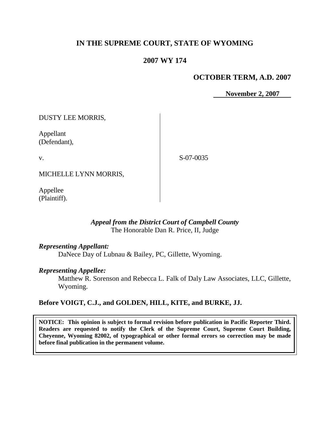# **IN THE SUPREME COURT, STATE OF WYOMING**

# **2007 WY 174**

# **OCTOBER TERM, A.D. 2007**

**November 2, 2007**

DUSTY LEE MORRIS,

Appellant (Defendant),

v.

S-07-0035

MICHELLE LYNN MORRIS,

Appellee (Plaintiff).

## *Appeal from the District Court of Campbell County* The Honorable Dan R. Price, II, Judge

## *Representing Appellant:*

DaNece Day of Lubnau & Bailey, PC, Gillette, Wyoming.

#### *Representing Appellee:*

Matthew R. Sorenson and Rebecca L. Falk of Daly Law Associates, LLC, Gillette, Wyoming.

## **Before VOIGT, C.J., and GOLDEN, HILL, KITE, and BURKE, JJ.**

**NOTICE: This opinion is subject to formal revision before publication in Pacific Reporter Third. Readers are requested to notify the Clerk of the Supreme Court, Supreme Court Building, Cheyenne, Wyoming 82002, of typographical or other formal errors so correction may be made before final publication in the permanent volume.**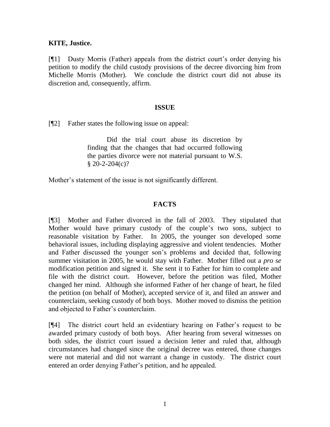## **KITE, Justice.**

[¶1] Dusty Morris (Father) appeals from the district court's order denying his petition to modify the child custody provisions of the decree divorcing him from Michelle Morris (Mother). We conclude the district court did not abuse its discretion and, consequently, affirm.

#### **ISSUE**

[¶2] Father states the following issue on appeal:

Did the trial court abuse its discretion by finding that the changes that had occurred following the parties divorce were not material pursuant to W.S.  $$20-2-204(c)?$ 

Mother's statement of the issue is not significantly different.

## **FACTS**

[¶3] Mother and Father divorced in the fall of 2003. They stipulated that Mother would have primary custody of the couple"s two sons, subject to reasonable visitation by Father. In 2005, the younger son developed some behavioral issues, including displaying aggressive and violent tendencies. Mother and Father discussed the younger son"s problems and decided that, following summer visitation in 2005, he would stay with Father. Mother filled out a *pro se* modification petition and signed it. She sent it to Father for him to complete and file with the district court. However, before the petition was filed, Mother changed her mind. Although she informed Father of her change of heart, he filed the petition (on behalf of Mother), accepted service of it, and filed an answer and counterclaim, seeking custody of both boys. Mother moved to dismiss the petition and objected to Father"s counterclaim.

[¶4] The district court held an evidentiary hearing on Father"s request to be awarded primary custody of both boys. After hearing from several witnesses on both sides, the district court issued a decision letter and ruled that, although circumstances had changed since the original decree was entered, those changes were not material and did not warrant a change in custody. The district court entered an order denying Father"s petition, and he appealed.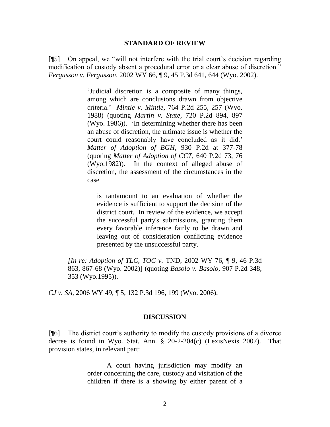#### **STANDARD OF REVIEW**

[¶5] On appeal, we "will not interfere with the trial court"s decision regarding modification of custody absent a procedural error or a clear abuse of discretion." *Fergusson v. Fergusson,* 2002 WY 66, ¶ 9, 45 P.3d 641, 644 (Wyo. 2002).

> "Judicial discretion is a composite of many things, among which are conclusions drawn from objective criteria." *Mintle v. Mintle*, 764 P.2d 255, 257 (Wyo. 1988) (quoting *Martin v. State*, 720 P.2d 894, 897 (Wyo. 1986)). "In determining whether there has been an abuse of discretion, the ultimate issue is whether the court could reasonably have concluded as it did." *Matter of Adoption of BGH*, 930 P.2d at 377-78 (quoting *Matter of Adoption of CCT*, 640 P.2d 73, 76 (Wyo.1982)). In the context of alleged abuse of discretion, the assessment of the circumstances in the case

is tantamount to an evaluation of whether the evidence is sufficient to support the decision of the district court. In review of the evidence, we accept the successful party's submissions, granting them every favorable inference fairly to be drawn and leaving out of consideration conflicting evidence presented by the unsuccessful party.

*[In re: Adoption of TLC, TOC v. TND, 2002 WY 76, 19, 46 P.3d]* 863, 867-68 (Wyo. 2002)] (quoting *Basolo v. Basolo*, 907 P.2d 348, 353 (Wyo.1995)).

*CJ v. SA,* 2006 WY 49, ¶ 5, 132 P.3d 196, 199 (Wyo. 2006).

#### **DISCUSSION**

[¶6] The district court"s authority to modify the custody provisions of a divorce decree is found in Wyo. Stat. Ann. § 20-2-204(c) (LexisNexis 2007). That provision states, in relevant part:

> A court having jurisdiction may modify an order concerning the care, custody and visitation of the children if there is a showing by either parent of a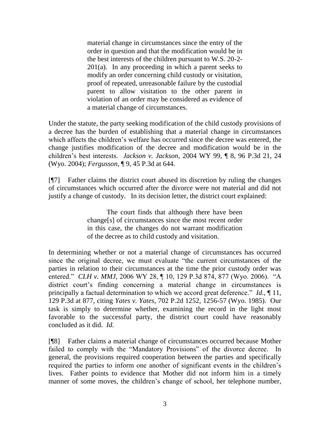material change in circumstances since the entry of the order in question and that the modification would be in the best interests of the children pursuant to W.S. 20-2-  $201(a)$ . In any proceeding in which a parent seeks to modify an order concerning child custody or visitation, proof of repeated, unreasonable failure by the custodial parent to allow visitation to the other parent in violation of an order may be considered as evidence of a material change of circumstances.

Under the statute, the party seeking modification of the child custody provisions of a decree has the burden of establishing that a material change in circumstances which affects the children"s welfare has occurred since the decree was entered, the change justifies modification of the decree and modification would be in the children"s best interests. *Jackson v. Jackson,* 2004 WY 99, ¶ 8, 96 P.3d 21, 24 (Wyo. 2004); *Fergusson*, ¶ 9, 45 P.3d at 644.

[¶7] Father claims the district court abused its discretion by ruling the changes of circumstances which occurred after the divorce were not material and did not justify a change of custody. In its decision letter, the district court explained:

> The court finds that although there have been change[s] of circumstances since the most recent order in this case, the changes do not warrant modification of the decree as to child custody and visitation.

In determining whether or not a material change of circumstances has occurred since the original decree, we must evaluate "the current circumstances of the parties in relation to their circumstances at the time the prior custody order was entered." *CLH v. MMJ,* 2006 WY 28, ¶ 10, 129 P.3d 874, 877 (Wyo. 2006). "A district court's finding concerning a material change in circumstances is principally a factual determination to which we accord great deference." *Id.*, ¶ 11, 129 P.3d at 877, citing *Yates v. Yates,* 702 P.2d 1252, 1256-57 (Wyo. 1985). Our task is simply to determine whether, examining the record in the light most favorable to the successful party, the district court could have reasonably concluded as it did. *Id.* 

[¶8] Father claims a material change of circumstances occurred because Mother failed to comply with the "Mandatory Provisions" of the divorce decree. In general, the provisions required cooperation between the parties and specifically required the parties to inform one another of significant events in the children"s lives. Father points to evidence that Mother did not inform him in a timely manner of some moves, the children's change of school, her telephone number,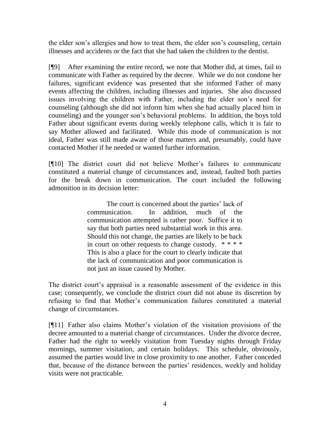the elder son"s allergies and how to treat them, the elder son"s counseling, certain illnesses and accidents or the fact that she had taken the children to the dentist.

[¶9] After examining the entire record, we note that Mother did, at times, fail to communicate with Father as required by the decree. While we do not condone her failures, significant evidence was presented that she informed Father of many events affecting the children, including illnesses and injuries. She also discussed issues involving the children with Father, including the elder son's need for counseling (although she did not inform him when she had actually placed him in counseling) and the younger son"s behavioral problems. In addition, the boys told Father about significant events during weekly telephone calls, which it is fair to say Mother allowed and facilitated. While this mode of communication is not ideal, Father was still made aware of those matters and, presumably, could have contacted Mother if he needed or wanted further information.

[¶10] The district court did not believe Mother"s failures to communicate constituted a material change of circumstances and, instead, faulted both parties for the break down in communication. The court included the following admonition in its decision letter:

> The court is concerned about the parties' lack of communication. In addition, much of the communication attempted is rather poor. Suffice it to say that both parties need substantial work in this area. Should this not change, the parties are likely to be back in court on other requests to change custody.  $***$ This is also a place for the court to clearly indicate that the lack of communication and poor communication is not just an issue caused by Mother.

The district court's appraisal is a reasonable assessment of the evidence in this case; consequently, we conclude the district court did not abuse its discretion by refusing to find that Mother"s communication failures constituted a material change of circumstances.

[¶11] Father also claims Mother"s violation of the visitation provisions of the decree amounted to a material change of circumstances. Under the divorce decree, Father had the right to weekly visitation from Tuesday nights through Friday mornings, summer visitation, and certain holidays. This schedule, obviously, assumed the parties would live in close proximity to one another. Father conceded that, because of the distance between the parties" residences, weekly and holiday visits were not practicable.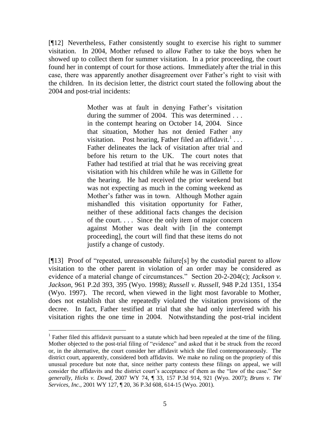[¶12] Nevertheless, Father consistently sought to exercise his right to summer visitation. In 2004, Mother refused to allow Father to take the boys when he showed up to collect them for summer visitation. In a prior proceeding, the court found her in contempt of court for those actions. Immediately after the trial in this case, there was apparently another disagreement over Father"s right to visit with the children. In its decision letter, the district court stated the following about the 2004 and post-trial incidents:

> Mother was at fault in denying Father's visitation during the summer of 2004. This was determined ... in the contempt hearing on October 14, 2004. Since that situation, Mother has not denied Father any visitation. Post hearing, Father filed an affidavit.<sup>1</sup>... Father delineates the lack of visitation after trial and before his return to the UK. The court notes that Father had testified at trial that he was receiving great visitation with his children while he was in Gillette for the hearing. He had received the prior weekend but was not expecting as much in the coming weekend as Mother's father was in town. Although Mother again mishandled this visitation opportunity for Father, neither of these additional facts changes the decision of the court. . . . Since the only item of major concern against Mother was dealt with [in the contempt proceeding], the court will find that these items do not justify a change of custody.

[¶13] Proof of "repeated, unreasonable failure[s] by the custodial parent to allow visitation to the other parent in violation of an order may be considered as evidence of a material change of circumstances." Section 20-2-204(c); *Jackson v. Jackson,* 961 P.2d 393, 395 (Wyo. 1998); *Russell v. Russell*, 948 P.2d 1351, 1354 (Wyo. 1997). The record, when viewed in the light most favorable to Mother, does not establish that she repeatedly violated the visitation provisions of the decree. In fact, Father testified at trial that she had only interfered with his visitation rights the one time in 2004. Notwithstanding the post-trial incident

<sup>&</sup>lt;sup>1</sup> Father filed this affidavit pursuant to a statute which had been repealed at the time of the filing. Mother objected to the post-trial filing of "evidence" and asked that it be struck from the record or, in the alternative, the court consider her affidavit which she filed contemporaneously. The district court, apparently, considered both affidavits. We make no ruling on the propriety of this unusual procedure but note that, since neither party contests these filings on appeal, we will consider the affidavits and the district court"s acceptance of them as the "law of the case." *See generally*, *Hicks v. Dowd,* 2007 WY 74, ¶ 33, 157 P.3d 914, 921 (Wyo. 2007); *Bruns v. TW Services, Inc.,* 2001 WY 127, ¶ 20, 36 P.3d 608, 614-15 (Wyo. 2001).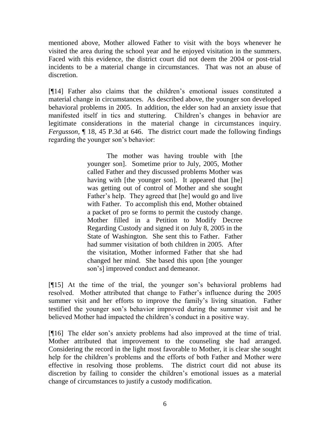mentioned above, Mother allowed Father to visit with the boys whenever he visited the area during the school year and he enjoyed visitation in the summers. Faced with this evidence, the district court did not deem the 2004 or post-trial incidents to be a material change in circumstances. That was not an abuse of discretion.

[¶14] Father also claims that the children"s emotional issues constituted a material change in circumstances. As described above, the younger son developed behavioral problems in 2005. In addition, the elder son had an anxiety issue that manifested itself in tics and stuttering. Children"s changes in behavior are legitimate considerations in the material change in circumstances inquiry. *Fergusson,* ¶ 18, 45 P.3d at 646. The district court made the following findings regarding the younger son's behavior:

> The mother was having trouble with [the younger son]. Sometime prior to July, 2005, Mother called Father and they discussed problems Mother was having with [the younger son]. It appeared that [he] was getting out of control of Mother and she sought Father's help. They agreed that [he] would go and live with Father. To accomplish this end, Mother obtained a packet of pro se forms to permit the custody change. Mother filled in a Petition to Modify Decree Regarding Custody and signed it on July 8, 2005 in the State of Washington. She sent this to Father. Father had summer visitation of both children in 2005. After the visitation, Mother informed Father that she had changed her mind. She based this upon [the younger son"s] improved conduct and demeanor.

[¶15] At the time of the trial, the younger son"s behavioral problems had resolved. Mother attributed that change to Father"s influence during the 2005 summer visit and her efforts to improve the family's living situation. Father testified the younger son"s behavior improved during the summer visit and he believed Mother had impacted the children"s conduct in a positive way.

[¶16] The elder son"s anxiety problems had also improved at the time of trial. Mother attributed that improvement to the counseling she had arranged. Considering the record in the light most favorable to Mother, it is clear she sought help for the children"s problems and the efforts of both Father and Mother were effective in resolving those problems. The district court did not abuse its discretion by failing to consider the children"s emotional issues as a material change of circumstances to justify a custody modification.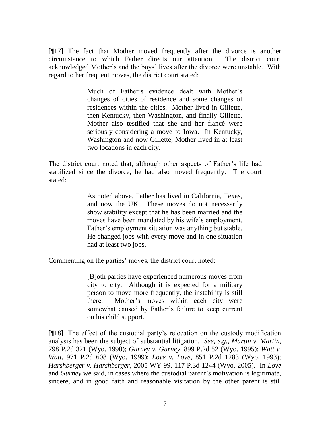[¶17] The fact that Mother moved frequently after the divorce is another circumstance to which Father directs our attention. The district court acknowledged Mother"s and the boys" lives after the divorce were unstable. With regard to her frequent moves, the district court stated:

> Much of Father's evidence dealt with Mother's changes of cities of residence and some changes of residences within the cities. Mother lived in Gillette, then Kentucky, then Washington, and finally Gillette. Mother also testified that she and her fiancé were seriously considering a move to Iowa. In Kentucky, Washington and now Gillette, Mother lived in at least two locations in each city.

The district court noted that, although other aspects of Father"s life had stabilized since the divorce, he had also moved frequently. The court stated:

> As noted above, Father has lived in California, Texas, and now the UK. These moves do not necessarily show stability except that he has been married and the moves have been mandated by his wife's employment. Father"s employment situation was anything but stable. He changed jobs with every move and in one situation had at least two jobs.

Commenting on the parties' moves, the district court noted:

[B]oth parties have experienced numerous moves from city to city. Although it is expected for a military person to move more frequently, the instability is still there. Mother"s moves within each city were somewhat caused by Father"s failure to keep current on his child support.

[¶18] The effect of the custodial party"s relocation on the custody modification analysis has been the subject of substantial litigation. *See, e.g*., *Martin v. Martin,*  798 P.2d 321 (Wyo. 1990); *Gurney v. Gurney,* 899 P.2d 52 (Wyo. 1995); *Watt v. Watt,* 971 P.2d 608 (Wyo. 1999); *Love v. Love,* 851 P.2d 1283 (Wyo. 1993); *Harshberger v. Harshberger,* 2005 WY 99, 117 P.3d 1244 (Wyo. 2005). In *Love*  and *Gurney* we said, in cases where the custodial parent's motivation is legitimate, sincere, and in good faith and reasonable visitation by the other parent is still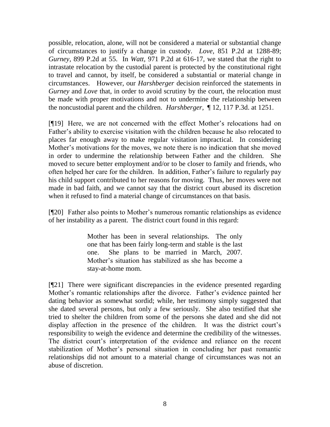possible, relocation, alone, will not be considered a material or substantial change of circumstances to justify a change in custody. *Love,* 851 P.2d at 1288-89; *Gurney,* 899 P.2d at 55. In *Watt,* 971 P.2d at 616-17*,* we stated that the right to intrastate relocation by the custodial parent is protected by the constitutional right to travel and cannot, by itself, be considered a substantial or material change in circumstances. However, our *Harshberger* decision reinforced the statements in *Gurney* and *Love* that, in order to avoid scrutiny by the court, the relocation must be made with proper motivations and not to undermine the relationship between the noncustodial parent and the children. *Harshberger,* ¶ 12, 117 P.3d. at 1251.

[¶19] Here, we are not concerned with the effect Mother"s relocations had on Father's ability to exercise visitation with the children because he also relocated to places far enough away to make regular visitation impractical. In considering Mother's motivations for the moves, we note there is no indication that she moved in order to undermine the relationship between Father and the children. She moved to secure better employment and/or to be closer to family and friends, who often helped her care for the children. In addition, Father"s failure to regularly pay his child support contributed to her reasons for moving. Thus, her moves were not made in bad faith, and we cannot say that the district court abused its discretion when it refused to find a material change of circumstances on that basis.

[¶20] Father also points to Mother"s numerous romantic relationships as evidence of her instability as a parent. The district court found in this regard:

> Mother has been in several relationships. The only one that has been fairly long-term and stable is the last one. She plans to be married in March, 2007. Mother"s situation has stabilized as she has become a stay-at-home mom.

[¶21] There were significant discrepancies in the evidence presented regarding Mother's romantic relationships after the divorce. Father's evidence painted her dating behavior as somewhat sordid; while, her testimony simply suggested that she dated several persons, but only a few seriously. She also testified that she tried to shelter the children from some of the persons she dated and she did not display affection in the presence of the children. It was the district court's responsibility to weigh the evidence and determine the credibility of the witnesses. The district court's interpretation of the evidence and reliance on the recent stabilization of Mother"s personal situation in concluding her past romantic relationships did not amount to a material change of circumstances was not an abuse of discretion.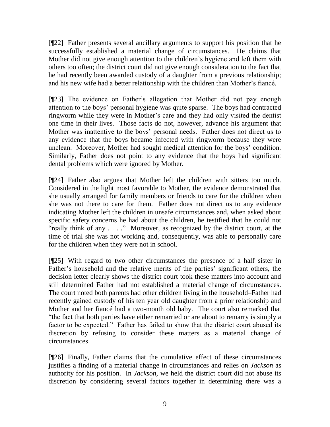[¶22] Father presents several ancillary arguments to support his position that he successfully established a material change of circumstances. He claims that Mother did not give enough attention to the children"s hygiene and left them with others too often; the district court did not give enough consideration to the fact that he had recently been awarded custody of a daughter from a previous relationship; and his new wife had a better relationship with the children than Mother"s fiancé.

[¶23] The evidence on Father"s allegation that Mother did not pay enough attention to the boys" personal hygiene was quite sparse. The boys had contracted ringworm while they were in Mother"s care and they had only visited the dentist one time in their lives. Those facts do not, however, advance his argument that Mother was inattentive to the boys" personal needs. Father does not direct us to any evidence that the boys became infected with ringworm because they were unclean. Moreover, Mother had sought medical attention for the boys" condition. Similarly, Father does not point to any evidence that the boys had significant dental problems which were ignored by Mother.

[¶24] Father also argues that Mother left the children with sitters too much. Considered in the light most favorable to Mother, the evidence demonstrated that she usually arranged for family members or friends to care for the children when she was not there to care for them. Father does not direct us to any evidence indicating Mother left the children in unsafe circumstances and, when asked about specific safety concerns he had about the children, he testified that he could not "really think of any . . . ." Moreover, as recognized by the district court, at the time of trial she was not working and, consequently, was able to personally care for the children when they were not in school.

[¶25] With regard to two other circumstances–the presence of a half sister in Father's household and the relative merits of the parties' significant others, the decision letter clearly shows the district court took these matters into account and still determined Father had not established a material change of circumstances. The court noted both parents had other children living in the household–Father had recently gained custody of his ten year old daughter from a prior relationship and Mother and her fiancé had a two-month old baby. The court also remarked that "the fact that both parties have either remarried or are about to remarry is simply a factor to be expected." Father has failed to show that the district court abused its discretion by refusing to consider these matters as a material change of circumstances.

[¶26] Finally, Father claims that the cumulative effect of these circumstances justifies a finding of a material change in circumstances and relies on *Jackson* as authority for his position. In *Jackson,* we held the district court did not abuse its discretion by considering several factors together in determining there was a